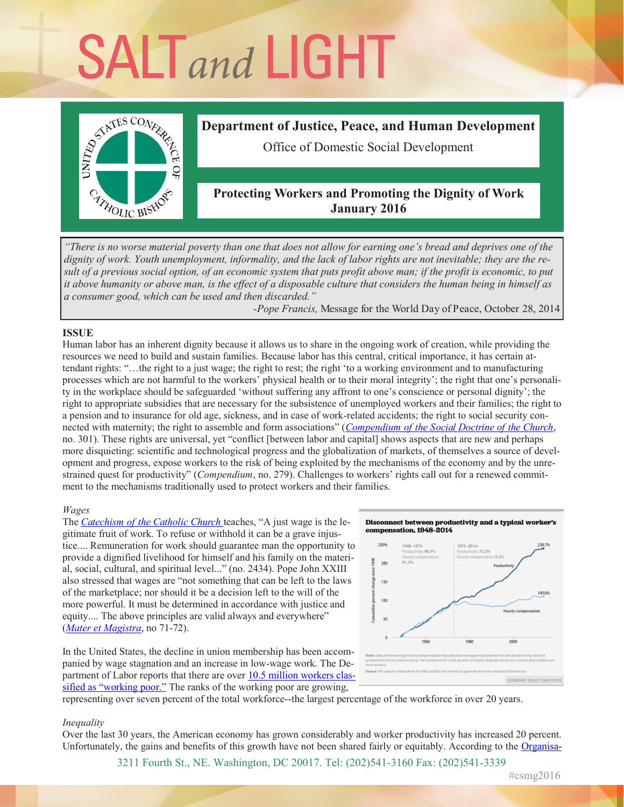# **SALT** and LIGHT



# **Department of Justice, Peace, and Human Development**

Office of Domestic Social Development

# **Protecting Workers and Promoting the Dignity of Work January 2016**

*"There is no worse material poverty than one that does not allow for earning one's bread and deprives one of the dignity of work. Youth unemployment, informality, and the lack of labor rights are not inevitable; they are the result of a previous social option, of an economic system that puts profit above man; if the profit is economic, to put it above humanity or above man, is the effect of a disposable culture that considers the human being in himself as a consumer good, which can be used and then discarded."* 

*-Pope Francis,* Message for the World Day of Peace, October 28, 2014

## **ISSUE**

Human labor has an inherent dignity because it allows us to share in the ongoing work of creation, while providing the resources we need to build and sustain families. Because labor has this central, critical importance, it has certain attendant rights: "…the right to a just wage; the right to rest; the right 'to a working environment and to manufacturing processes which are not harmful to the workers' physical health or to their moral integrity'; the right that one's personality in the workplace should be safeguarded 'without suffering any affront to one's conscience or personal dignity'; the right to appropriate subsidies that are necessary for the subsistence of unemployed workers and their families; the right to a pension and to insurance for old age, sickness, and in case of work-related accidents; the right to social security connected with maternity; the right to assemble and form associations" (*Compendium of the Social Doctrine of the Church*, no. 301). These rights are universal, yet "conflict [between labor and capital] shows aspects that are new and perhaps more disquieting: scientific and technological progress and the globalization of markets, of themselves a source of development and progress, expose workers to the risk of being exploited by the mechanisms of the economy and by the unrestrained quest for productivity" (*Compendium*, no. 279). Challenges to workers' rights call out for a renewed commitment to the mechanisms traditionally used to protect workers and their families.

## *Wages*

The *Catechism of the Catholic Church* teaches, "A just wage is the legitimate fruit of work. To refuse or withhold it can be a grave injustice.... Remuneration for work should guarantee man the opportunity to provide a dignified livelihood for himself and his family on the material, social, cultural, and spiritual level..." (no. 2434). Pope John XXIII also stressed that wages are "not something that can be left to the laws of the marketplace; nor should it be a decision left to the will of the more powerful. It must be determined in accordance with justice and equity.... The above principles are valid always and everywhere" (*Mater et Magistra*, no 71-72).

In the United States, the decline in union membership has been accompanied by wage stagnation and an increase in low-wage work. The Department of Labor reports that there are over 10.5 million workers classified as "working poor." The ranks of the working poor are growing,



representing over seven percent of the total workforce--the largest percentage of the workforce in over 20 years.

## *Inequality*

Over the last 30 years, the American economy has grown considerably and worker productivity has increased 20 percent. Unfortunately, the gains and benefits of this growth have not been shared fairly or equitably. According to the Organisa-

3211 Fourth St., NE. Washington, DC 20017. Tel: (202)541-3160 Fax: (202)541-3339